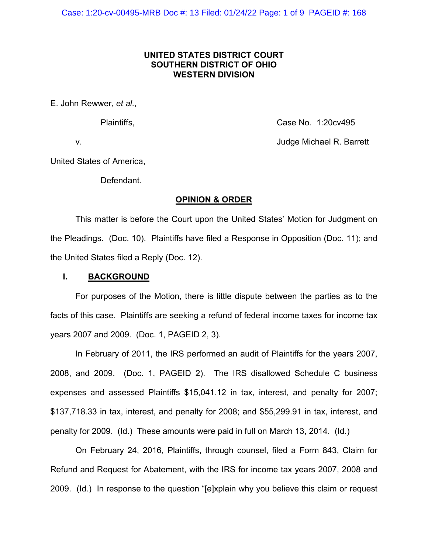# **UNITED STATES DISTRICT COURT SOUTHERN DISTRICT OF OHIO WESTERN DIVISION**

E. John Rewwer, *et al*.,

Plaintiffs, Case No. 1:20cv495

v. Judge Michael R. Barrett

United States of America,

Defendant.

# **OPINION & ORDER**

This matter is before the Court upon the United States' Motion for Judgment on the Pleadings. (Doc. 10). Plaintiffs have filed a Response in Opposition (Doc. 11); and the United States filed a Reply (Doc. 12).

### **I. BACKGROUND**

For purposes of the Motion, there is little dispute between the parties as to the facts of this case. Plaintiffs are seeking a refund of federal income taxes for income tax years 2007 and 2009. (Doc. 1, PAGEID 2, 3).

In February of 2011, the IRS performed an audit of Plaintiffs for the years 2007, 2008, and 2009. (Doc. 1, PAGEID 2). The IRS disallowed Schedule C business expenses and assessed Plaintiffs \$15,041.12 in tax, interest, and penalty for 2007; \$137,718.33 in tax, interest, and penalty for 2008; and \$55,299.91 in tax, interest, and penalty for 2009. (Id.) These amounts were paid in full on March 13, 2014. (Id.)

On February 24, 2016, Plaintiffs, through counsel, filed a Form 843, Claim for Refund and Request for Abatement, with the IRS for income tax years 2007, 2008 and 2009. (Id.) In response to the question "[e]xplain why you believe this claim or request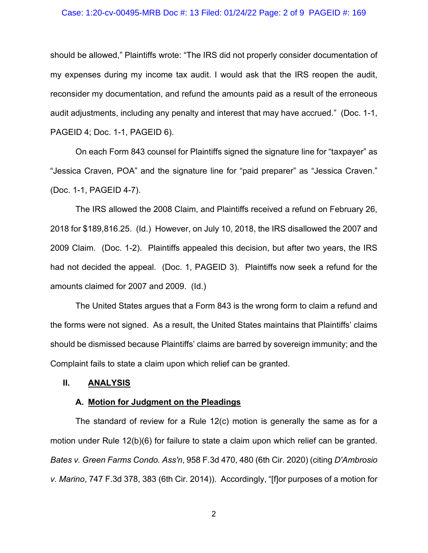#### Case: 1:20-cv-00495-MRB Doc #: 13 Filed: 01/24/22 Page: 2 of 9 PAGEID #: 169

should be allowed," Plaintiffs wrote: "The IRS did not properly consider documentation of my expenses during my income tax audit. I would ask that the IRS reopen the audit, reconsider my documentation, and refund the amounts paid as a result of the erroneous audit adjustments, including any penalty and interest that may have accrued." (Doc. 1-1, PAGEID 4; Doc. 1-1, PAGEID 6).

On each Form 843 counsel for Plaintiffs signed the signature line for "taxpayer" as "Jessica Craven, POA" and the signature line for "paid preparer" as "Jessica Craven." (Doc. 1-1, PAGEID 4-7).

The IRS allowed the 2008 Claim, and Plaintiffs received a refund on February 26, 2018 for \$189,816.25. (Id.) However, on July 10, 2018, the IRS disallowed the 2007 and 2009 Claim. (Doc. 1-2). Plaintiffs appealed this decision, but after two years, the IRS had not decided the appeal. (Doc. 1, PAGEID 3). Plaintiffs now seek a refund for the amounts claimed for 2007 and 2009. (Id.)

The United States argues that a Form 843 is the wrong form to claim a refund and the forms were not signed. As a result, the United States maintains that Plaintiffs' claims should be dismissed because Plaintiffs' claims are barred by sovereign immunity; and the Complaint fails to state a claim upon which relief can be granted.

## **II. ANALYSIS**

#### **A. Motion for Judgment on the Pleadings**

The standard of review for a Rule 12(c) motion is generally the same as for a motion under Rule 12(b)(6) for failure to state a claim upon which relief can be granted. *Bates v. Green Farms Condo. Ass'n*, 958 F.3d 470, 480 (6th Cir. 2020) (citing *D'Ambrosio v. Marino*, 747 F.3d 378, 383 (6th Cir. 2014)). Accordingly, "[f]or purposes of a motion for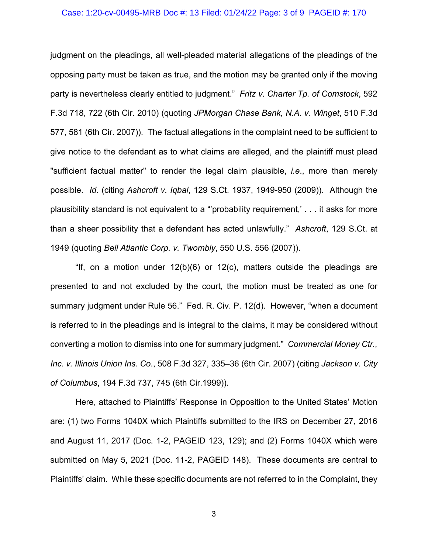#### Case: 1:20-cv-00495-MRB Doc #: 13 Filed: 01/24/22 Page: 3 of 9 PAGEID #: 170

judgment on the pleadings, all well-pleaded material allegations of the pleadings of the opposing party must be taken as true, and the motion may be granted only if the moving party is nevertheless clearly entitled to judgment." *Fritz v. Charter Tp. of Comstock*, 592 F.3d 718, 722 (6th Cir. 2010) (quoting *JPMorgan Chase Bank, N.A. v. Winget*, 510 F.3d 577, 581 (6th Cir. 2007)). The factual allegations in the complaint need to be sufficient to give notice to the defendant as to what claims are alleged, and the plaintiff must plead "sufficient factual matter" to render the legal claim plausible, *i.e*., more than merely possible. *Id*. (citing *Ashcroft v. Iqbal*, 129 S.Ct. 1937, 1949-950 (2009)). Although the plausibility standard is not equivalent to a "'probability requirement,' . . . it asks for more than a sheer possibility that a defendant has acted unlawfully." *Ashcroft*, 129 S.Ct. at 1949 (quoting *Bell Atlantic Corp. v. Twombly*, 550 U.S. 556 (2007)).

"If, on a motion under  $12(b)(6)$  or  $12(c)$ , matters outside the pleadings are presented to and not excluded by the court, the motion must be treated as one for summary judgment under Rule 56." Fed. R. Civ. P. 12(d). However, "when a document is referred to in the pleadings and is integral to the claims, it may be considered without converting a motion to dismiss into one for summary judgment." *Commercial Money Ctr., Inc. v. Illinois Union Ins. Co*., 508 F.3d 327, 335–36 (6th Cir. 2007) (citing *Jackson v. City of Columbus*, 194 F.3d 737, 745 (6th Cir.1999)).

Here, attached to Plaintiffs' Response in Opposition to the United States' Motion are: (1) two Forms 1040X which Plaintiffs submitted to the IRS on December 27, 2016 and August 11, 2017 (Doc. 1-2, PAGEID 123, 129); and (2) Forms 1040X which were submitted on May 5, 2021 (Doc. 11-2, PAGEID 148). These documents are central to Plaintiffs' claim. While these specific documents are not referred to in the Complaint, they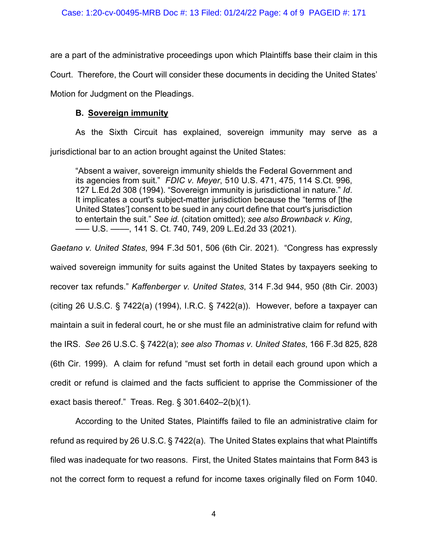are a part of the administrative proceedings upon which Plaintiffs base their claim in this Court. Therefore, the Court will consider these documents in deciding the United States' Motion for Judgment on the Pleadings.

# **B. Sovereign immunity**

As the Sixth Circuit has explained, sovereign immunity may serve as a jurisdictional bar to an action brought against the United States:

"Absent a waiver, sovereign immunity shields the Federal Government and its agencies from suit." *FDIC v. Meyer*, 510 U.S. 471, 475, 114 S.Ct. 996, 127 L.Ed.2d 308 (1994). "Sovereign immunity is jurisdictional in nature." *Id*. It implicates a court's subject-matter jurisdiction because the "terms of [the United States'] consent to be sued in any court define that court's jurisdiction to entertain the suit." *See id.* (citation omitted); *see also Brownback v. King*, ––– U.S. ––––, 141 S. Ct. 740, 749, 209 L.Ed.2d 33 (2021).

*Gaetano v. United States*, 994 F.3d 501, 506 (6th Cir. 2021). "Congress has expressly waived sovereign immunity for suits against the United States by taxpayers seeking to recover tax refunds." *Kaffenberger v. United States*, 314 F.3d 944, 950 (8th Cir. 2003) (citing 26 U.S.C. § 7422(a) (1994), I.R.C. § 7422(a)). However, before a taxpayer can maintain a suit in federal court, he or she must file an administrative claim for refund with the IRS. *See* 26 U.S.C. § 7422(a); *see also Thomas v. United States*, 166 F.3d 825, 828 (6th Cir. 1999). A claim for refund "must set forth in detail each ground upon which a credit or refund is claimed and the facts sufficient to apprise the Commissioner of the exact basis thereof." Treas. Reg. § 301.6402–2(b)(1).

According to the United States, Plaintiffs failed to file an administrative claim for refund as required by 26 U.S.C. § 7422(a). The United States explains that what Plaintiffs filed was inadequate for two reasons. First, the United States maintains that Form 843 is not the correct form to request a refund for income taxes originally filed on Form 1040.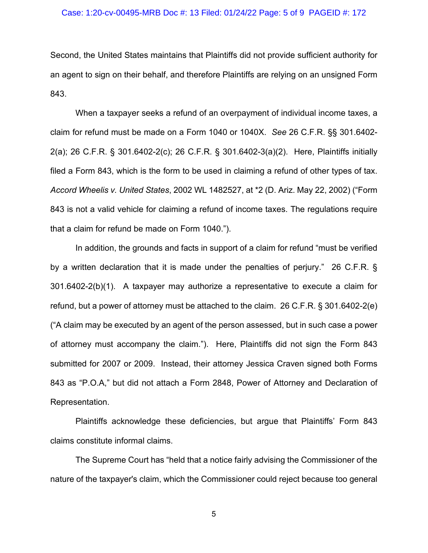#### Case: 1:20-cv-00495-MRB Doc #: 13 Filed: 01/24/22 Page: 5 of 9 PAGEID #: 172

Second, the United States maintains that Plaintiffs did not provide sufficient authority for an agent to sign on their behalf, and therefore Plaintiffs are relying on an unsigned Form 843.

When a taxpayer seeks a refund of an overpayment of individual income taxes, a claim for refund must be made on a Form 1040 or 1040X. *See* 26 C.F.R. §§ 301.6402- 2(a); 26 C.F.R. § 301.6402-2(c); 26 C.F.R. § 301.6402-3(a)(2). Here, Plaintiffs initially filed a Form 843, which is the form to be used in claiming a refund of other types of tax. *Accord Wheelis v. United States*, 2002 WL 1482527, at \*2 (D. Ariz. May 22, 2002) ("Form 843 is not a valid vehicle for claiming a refund of income taxes. The regulations require that a claim for refund be made on Form 1040.").

In addition, the grounds and facts in support of a claim for refund "must be verified by a written declaration that it is made under the penalties of perjury." 26 C.F.R. § 301.6402-2(b)(1). A taxpayer may authorize a representative to execute a claim for refund, but a power of attorney must be attached to the claim. 26 C.F.R. § 301.6402-2(e) ("A claim may be executed by an agent of the person assessed, but in such case a power of attorney must accompany the claim."). Here, Plaintiffs did not sign the Form 843 submitted for 2007 or 2009. Instead, their attorney Jessica Craven signed both Forms 843 as "P.O.A," but did not attach a Form 2848, Power of Attorney and Declaration of Representation.

Plaintiffs acknowledge these deficiencies, but argue that Plaintiffs' Form 843 claims constitute informal claims.

The Supreme Court has "held that a notice fairly advising the Commissioner of the nature of the taxpayer's claim, which the Commissioner could reject because too general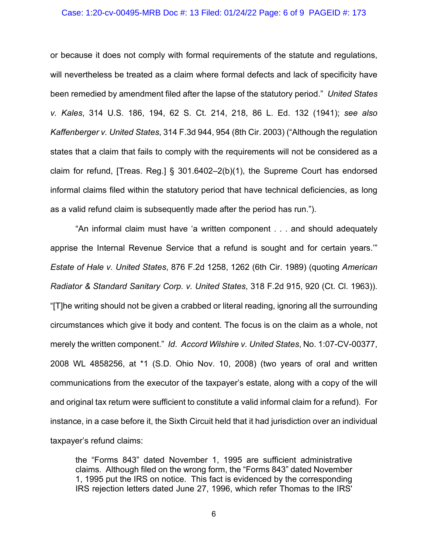#### Case: 1:20-cv-00495-MRB Doc #: 13 Filed: 01/24/22 Page: 6 of 9 PAGEID #: 173

or because it does not comply with formal requirements of the statute and regulations, will nevertheless be treated as a claim where formal defects and lack of specificity have been remedied by amendment filed after the lapse of the statutory period." *United States v. Kales*, 314 U.S. 186, 194, 62 S. Ct. 214, 218, 86 L. Ed. 132 (1941); *see also Kaffenberger v. United States*, 314 F.3d 944, 954 (8th Cir. 2003) ("Although the regulation states that a claim that fails to comply with the requirements will not be considered as a claim for refund, [Treas. Reg.] § 301.6402–2(b)(1), the Supreme Court has endorsed informal claims filed within the statutory period that have technical deficiencies, as long as a valid refund claim is subsequently made after the period has run.").

"An informal claim must have 'a written component . . . and should adequately apprise the Internal Revenue Service that a refund is sought and for certain years.'" *Estate of Hale v. United States*, 876 F.2d 1258, 1262 (6th Cir. 1989) (quoting *American Radiator & Standard Sanitary Corp. v. United States*, 318 F.2d 915, 920 (Ct. Cl. 1963)). "[T]he writing should not be given a crabbed or literal reading, ignoring all the surrounding circumstances which give it body and content. The focus is on the claim as a whole, not merely the written component." *Id*. *Accord Wilshire v. United States*, No. 1:07-CV-00377, 2008 WL 4858256, at \*1 (S.D. Ohio Nov. 10, 2008) (two years of oral and written communications from the executor of the taxpayer's estate, along with a copy of the will and original tax return were sufficient to constitute a valid informal claim for a refund). For instance, in a case before it, the Sixth Circuit held that it had jurisdiction over an individual taxpayer's refund claims:

the "Forms 843" dated November 1, 1995 are sufficient administrative claims. Although filed on the wrong form, the "Forms 843" dated November 1, 1995 put the IRS on notice. This fact is evidenced by the corresponding IRS rejection letters dated June 27, 1996, which refer Thomas to the IRS'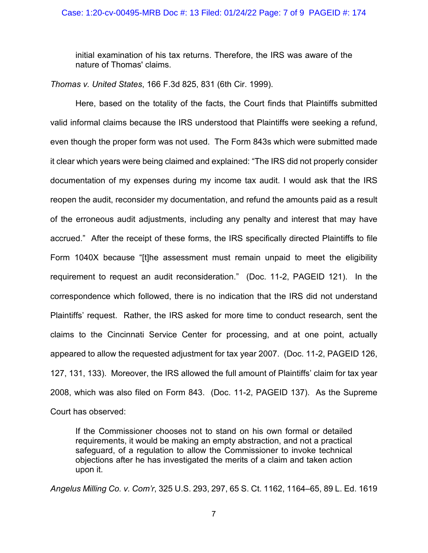initial examination of his tax returns. Therefore, the IRS was aware of the nature of Thomas' claims.

*Thomas v. United States*, 166 F.3d 825, 831 (6th Cir. 1999).

Here, based on the totality of the facts, the Court finds that Plaintiffs submitted valid informal claims because the IRS understood that Plaintiffs were seeking a refund, even though the proper form was not used. The Form 843s which were submitted made it clear which years were being claimed and explained: "The IRS did not properly consider documentation of my expenses during my income tax audit. I would ask that the IRS reopen the audit, reconsider my documentation, and refund the amounts paid as a result of the erroneous audit adjustments, including any penalty and interest that may have accrued." After the receipt of these forms, the IRS specifically directed Plaintiffs to file Form 1040X because "[t]he assessment must remain unpaid to meet the eligibility requirement to request an audit reconsideration." (Doc. 11-2, PAGEID 121). In the correspondence which followed, there is no indication that the IRS did not understand Plaintiffs' request. Rather, the IRS asked for more time to conduct research, sent the claims to the Cincinnati Service Center for processing, and at one point, actually appeared to allow the requested adjustment for tax year 2007. (Doc. 11-2, PAGEID 126, 127, 131, 133). Moreover, the IRS allowed the full amount of Plaintiffs' claim for tax year 2008, which was also filed on Form 843. (Doc. 11-2, PAGEID 137). As the Supreme Court has observed:

If the Commissioner chooses not to stand on his own formal or detailed requirements, it would be making an empty abstraction, and not a practical safeguard, of a regulation to allow the Commissioner to invoke technical objections after he has investigated the merits of a claim and taken action upon it.

*Angelus Milling Co. v. Com'r*, 325 U.S. 293, 297, 65 S. Ct. 1162, 1164–65, 89 L. Ed. 1619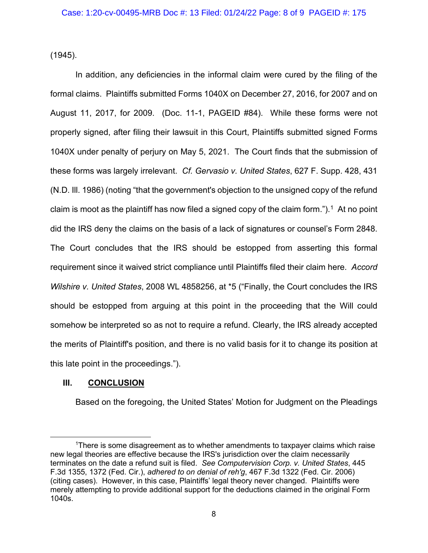(1945).

In addition, any deficiencies in the informal claim were cured by the filing of the formal claims. Plaintiffs submitted Forms 1040X on December 27, 2016, for 2007 and on August 11, 2017, for 2009. (Doc. 11-1, PAGEID #84). While these forms were not properly signed, after filing their lawsuit in this Court, Plaintiffs submitted signed Forms 1040X under penalty of perjury on May 5, 2021. The Court finds that the submission of these forms was largely irrelevant. *Cf. Gervasio v. United States*, 627 F. Supp. 428, 431 (N.D. Ill. 1986) (noting "that the government's objection to the unsigned copy of the refund claim is moot as the plaintiff has now filed a signed copy of the claim form.").<sup>[1](#page-7-0)</sup> At no point did the IRS deny the claims on the basis of a lack of signatures or counsel's Form 2848. The Court concludes that the IRS should be estopped from asserting this formal requirement since it waived strict compliance until Plaintiffs filed their claim here. *Accord Wilshire v. United States*, 2008 WL 4858256, at \*5 ("Finally, the Court concludes the IRS should be estopped from arguing at this point in the proceeding that the Will could somehow be interpreted so as not to require a refund. Clearly, the IRS already accepted the merits of Plaintiff's position, and there is no valid basis for it to change its position at this late point in the proceedings.").

# **III. CONCLUSION**

Based on the foregoing, the United States' Motion for Judgment on the Pleadings

<span id="page-7-0"></span><sup>1</sup> There is some disagreement as to whether amendments to taxpayer claims which raise new legal theories are effective because the IRS's jurisdiction over the claim necessarily terminates on the date a refund suit is filed. *See Computervision Corp. v. United States*, 445 F.3d 1355, 1372 (Fed. Cir.), *adhered to on denial of reh'g*, 467 F.3d 1322 (Fed. Cir. 2006) (citing cases). However, in this case, Plaintiffs' legal theory never changed. Plaintiffs were merely attempting to provide additional support for the deductions claimed in the original Form 1040s.